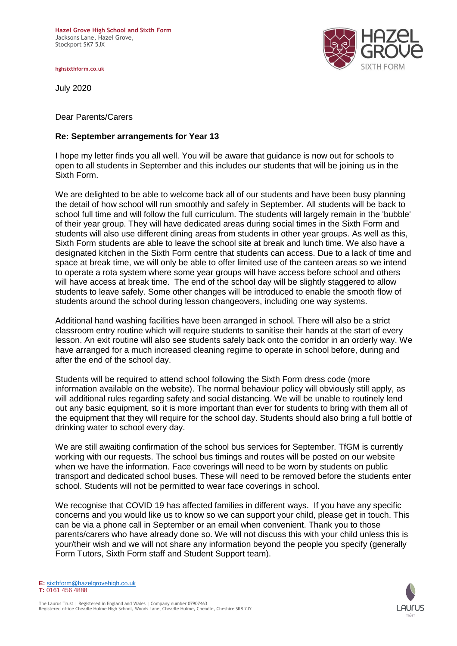**Hazel Grove High School and Sixth Form**  Jacksons Lane, Hazel Grove, Stockport SK7 5JX

**hghsixthform.co.uk**

July 2020

Dear Parents/Carers

## **Re: September arrangements for Year 13**

I hope my letter finds you all well. You will be aware that guidance is now out for schools to open to all students in September and this includes our students that will be joining us in the Sixth Form.

We are delighted to be able to welcome back all of our students and have been busy planning the detail of how school will run smoothly and safely in September. All students will be back to school full time and will follow the full curriculum. The students will largely remain in the 'bubble' of their year group. They will have dedicated areas during social times in the Sixth Form and students will also use different dining areas from students in other year groups. As well as this, Sixth Form students are able to leave the school site at break and lunch time. We also have a designated kitchen in the Sixth Form centre that students can access. Due to a lack of time and space at break time, we will only be able to offer limited use of the canteen areas so we intend to operate a rota system where some year groups will have access before school and others will have access at break time. The end of the school day will be slightly staggered to allow students to leave safely. Some other changes will be introduced to enable the smooth flow of students around the school during lesson changeovers, including one way systems.

Additional hand washing facilities have been arranged in school. There will also be a strict classroom entry routine which will require students to sanitise their hands at the start of every lesson. An exit routine will also see students safely back onto the corridor in an orderly way. We have arranged for a much increased cleaning regime to operate in school before, during and after the end of the school day.

Students will be required to attend school following the Sixth Form dress code (more information available on the website). The normal behaviour policy will obviously still apply, as will additional rules regarding safety and social distancing. We will be unable to routinely lend out any basic equipment, so it is more important than ever for students to bring with them all of the equipment that they will require for the school day. Students should also bring a full bottle of drinking water to school every day.

We are still awaiting confirmation of the school bus services for September. TfGM is currently working with our requests. The school bus timings and routes will be posted on our website when we have the information. Face coverings will need to be worn by students on public transport and dedicated school buses. These will need to be removed before the students enter school. Students will not be permitted to wear face coverings in school.

We recognise that COVID 19 has affected families in different ways. If you have any specific concerns and you would like us to know so we can support your child, please get in touch. This can be via a phone call in September or an email when convenient. Thank you to those parents/carers who have already done so. We will not discuss this with your child unless this is your/their wish and we will not share any information beyond the people you specify (generally Form Tutors, Sixth Form staff and Student Support team).